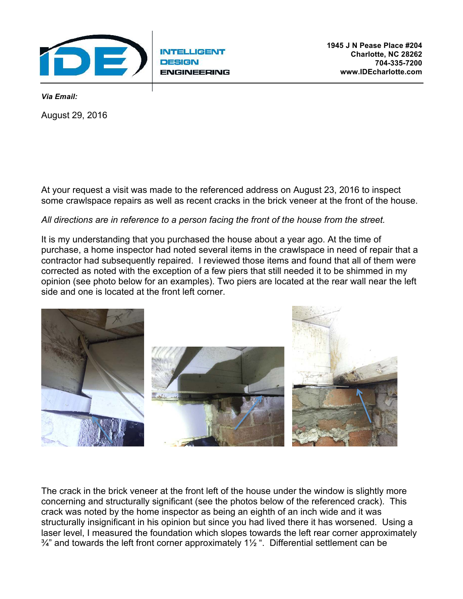

**INTELLIGENT ENGINEERING** 

*Via Email:* 

.

August 29, 2016

At your request a visit was made to the referenced address on August 23, 2016 to inspect some crawlspace repairs as well as recent cracks in the brick veneer at the front of the house.

## *All directions are in reference to a person facing the front of the house from the street.*

It is my understanding that you purchased the house about a year ago. At the time of purchase, a home inspector had noted several items in the crawlspace in need of repair that a contractor had subsequently repaired. I reviewed those items and found that all of them were corrected as noted with the exception of a few piers that still needed it to be shimmed in my opinion (see photo below for an examples). Two piers are located at the rear wall near the left side and one is located at the front left corner.



The crack in the brick veneer at the front left of the house under the window is slightly more concerning and structurally significant (see the photos below of the referenced crack). This crack was noted by the home inspector as being an eighth of an inch wide and it was structurally insignificant in his opinion but since you had lived there it has worsened. Using a laser level, I measured the foundation which slopes towards the left rear corner approximately  $\frac{3}{4}$ " and towards the left front corner approximately 1 $\frac{1}{2}$ ". Differential settlement can be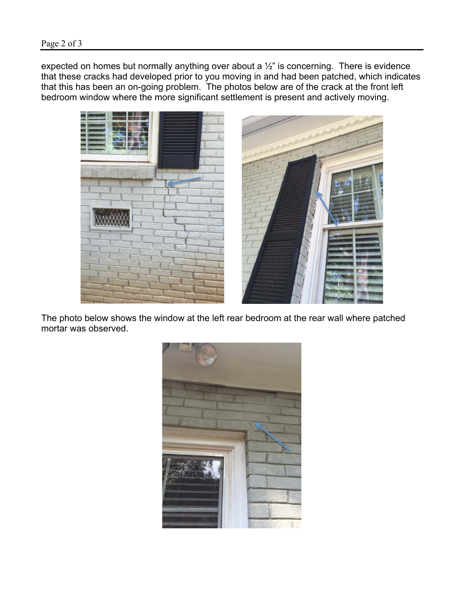expected on homes but normally anything over about a  $\frac{1}{2}$ " is concerning. There is evidence that these cracks had developed prior to you moving in and had been patched, which indicates that this has been an on-going problem. The photos below are of the crack at the front left bedroom window where the more significant settlement is present and actively moving.



The photo below shows the window at the left rear bedroom at the rear wall where patched mortar was observed.